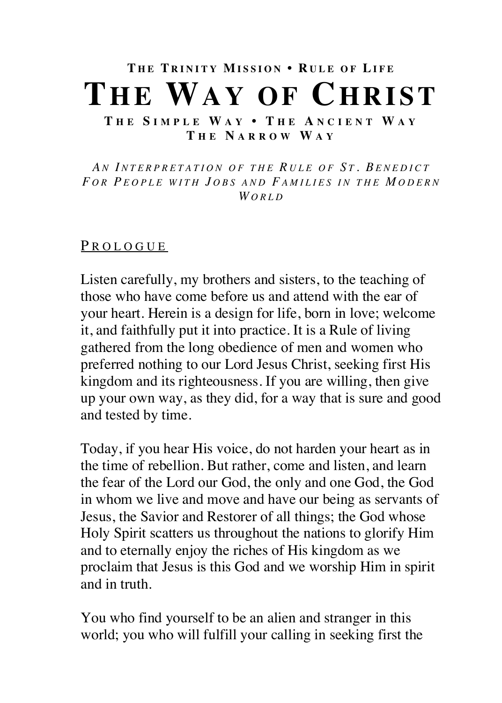# **T HE T RINITY MISSION • R ULE OF LIFE TH E WA Y OF CHRIST T HE S IMPLE W A Y • T HE A NCIENT W A Y T HE N ARROW W A Y**

*A N I NTERPRETATION OF THE R ULE OF S T . B ENEDICT F OR P EOPLE WITH J OBS AND F AMILIES IN THE M ODERN W ORLD*

#### P ROLOGUE

Listen carefully, my brothers and sisters, to the teaching of those who have come before us and attend with the ear of your heart. Herein is a design for life, born in love; welcome it, and faithfully put it into practice. It is a Rule of living gathered from the long obedience of men and women who preferred nothing to our Lord Jesus Christ, seeking first His kingdom and its righteousness. If you are willing, then give up your own way, as they did, for a way that is sure and good and tested by time.

Today, if you hear His voice, do not harden your heart as in the time of rebellion. But rather, come and listen, and learn the fear of the Lord our God, the only and one God, the God in whom we live and move and have our being as servants of Jesus, the Savior and Restorer of all things; the God whose Holy Spirit scatters us throughout the nations to glorify Him and to eternally enjoy the riches of His kingdom as we proclaim that Jesus is this God and we worship Him in spirit and in truth.

You who find yourself to be an alien and stranger in this world; you who will fulfill your calling in seeking first the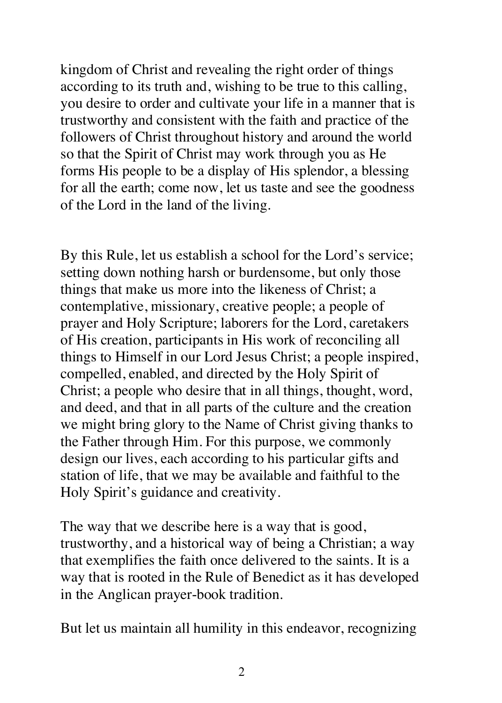kingdom of Christ and revealing the right order of things according to its truth and, wishing to be true to this calling, you desire to order and cultivate your life in a manner that is trustworthy and consistent with the faith and practice of the followers of Christ throughout history and around the world so that the Spirit of Christ may work through you as He forms His people to be a display of His splendor, a blessing for all the earth; come now, let us taste and see the goodness of the Lord in the land of the living.

By this Rule, let us establish a school for the Lord's service; setting down nothing harsh or burdensome, but only those things that make us more into the likeness of Christ; a contemplative, missionary, creative people; a people of prayer and Holy Scripture; laborers for the Lord, caretakers of His creation, participants in His work of reconciling all things to Himself in our Lord Jesus Christ; a people inspired, compelled, enabled, and directed by the Holy Spirit of Christ; a people who desire that in all things, thought, word, and deed, and that in all parts of the culture and the creation we might bring glory to the Name of Christ giving thanks to the Father through Him. For this purpose, we commonly design our lives, each according to his particular gifts and station of life, that we may be available and faithful to the Holy Spirit's guidance and creativity.

The way that we describe here is a way that is good, trustworthy, and a historical way of being a Christian; a way that exemplifies the faith once delivered to the saints. It is a way that is rooted in the Rule of Benedict as it has developed in the Anglican prayer-book tradition.

But let us maintain all humility in this endeavor, recognizing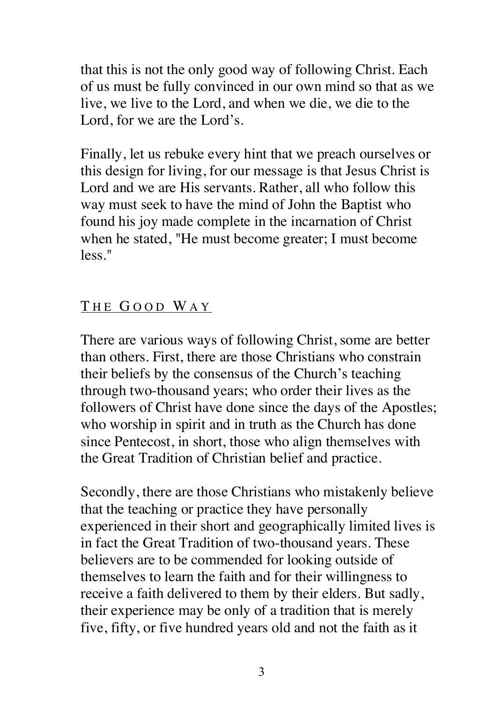that this is not the only good way of following Christ. Each of us must be fully convinced in our own mind so that as we live, we live to the Lord, and when we die, we die to the Lord, for we are the Lord's.

Finally, let us rebuke every hint that we preach ourselves or this design for living, for our message is that Jesus Christ is Lord and we are His servants. Rather, all who follow this way must seek to have the mind of John the Baptist who found his joy made complete in the incarnation of Christ when he stated, "He must become greater; I must become less."

### THE GOOD WAY

There are various ways of following Christ, some are better than others. First, there are those Christians who constrain their beliefs by the consensus of the Church's teaching through two-thousand years; who order their lives as the followers of Christ have done since the days of the Apostles; who worship in spirit and in truth as the Church has done since Pentecost, in short, those who align themselves with the Great Tradition of Christian belief and practice.

Secondly, there are those Christians who mistakenly believe that the teaching or practice they have personally experienced in their short and geographically limited lives is in fact the Great Tradition of two-thousand years. These believers are to be commended for looking outside of themselves to learn the faith and for their willingness to receive a faith delivered to them by their elders. But sadly, their experience may be only of a tradition that is merely five, fifty, or five hundred years old and not the faith as it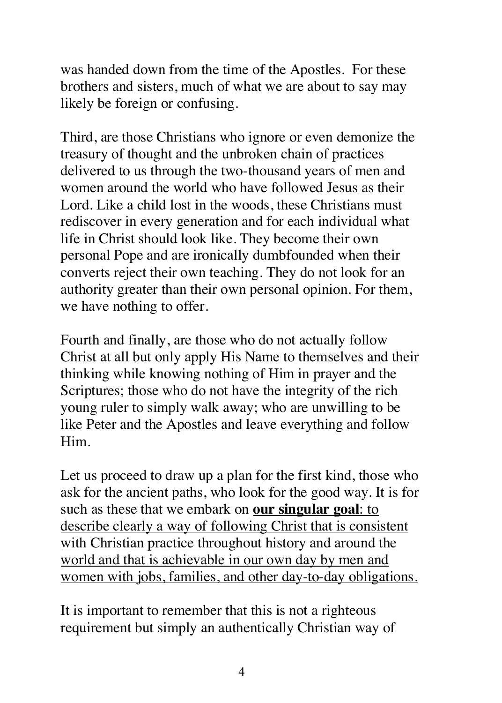was handed down from the time of the Apostles. For these brothers and sisters, much of what we are about to say may likely be foreign or confusing.

Third, are those Christians who ignore or even demonize the treasury of thought and the unbroken chain of practices delivered to us through the two-thousand years of men and women around the world who have followed Jesus as their Lord. Like a child lost in the woods, these Christians must rediscover in every generation and for each individual what life in Christ should look like. They become their own personal Pope and are ironically dumbfounded when their converts reject their own teaching. They do not look for an authority greater than their own personal opinion. For them, we have nothing to offer.

Fourth and finally, are those who do not actually follow Christ at all but only apply His Name to themselves and their thinking while knowing nothing of Him in prayer and the Scriptures; those who do not have the integrity of the rich young ruler to simply walk away; who are unwilling to be like Peter and the Apostles and leave everything and follow Him.

Let us proceed to draw up a plan for the first kind, those who ask for the ancient paths, who look for the good way. It is for such as these that we embark on **our singular goal**: to describe clearly a way of following Christ that is consistent with Christian practice throughout history and around the world and that is achievable in our own day by men and women with jobs, families, and other day-to-day obligations.

It is important to remember that this is not a righteous requirement but simply an authentically Christian way of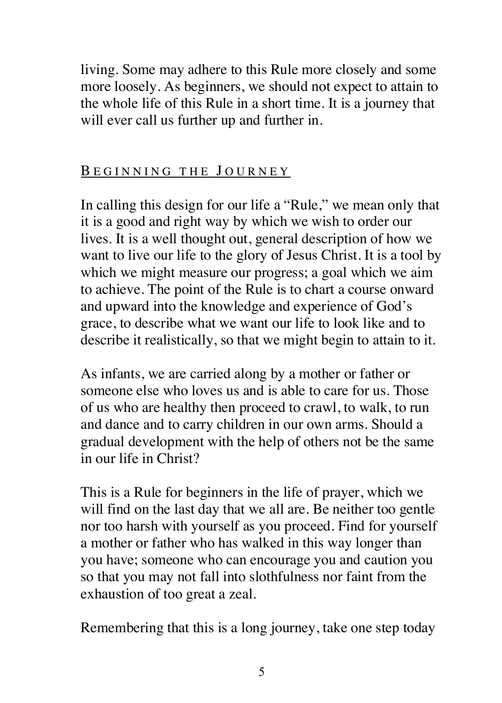living. Some may adhere to this Rule more closely and some more loosely. As beginners, we should not expect to attain to the whole life of this Rule in a short time. It is a journey that will ever call us further up and further in.

#### BEGINNING THE JOURNEY

In calling this design for our life a "Rule," we mean only that it is a good and right way by which we wish to order our lives. It is a well thought out, general description of how we want to live our life to the glory of Jesus Christ. It is a tool by which we might measure our progress; a goal which we aim to achieve. The point of the Rule is to chart a course onward and upward into the knowledge and experience of God's grace, to describe what we want our life to look like and to describe it realistically, so that we might begin to attain to it.

As infants, we are carried along by a mother or father or someone else who loves us and is able to care for us. Those of us who are healthy then proceed to crawl, to walk, to run and dance and to carry children in our own arms. Should a gradual development with the help of others not be the same in our life in Christ?

This is a Rule for beginners in the life of prayer, which we will find on the last day that we all are. Be neither too gentle nor too harsh with yourself as you proceed. Find for yourself a mother or father who has walked in this way longer than you have; someone who can encourage you and caution you so that you may not fall into slothfulness nor faint from the exhaustion of too great a zeal.

Remembering that this is a long journey, take one step today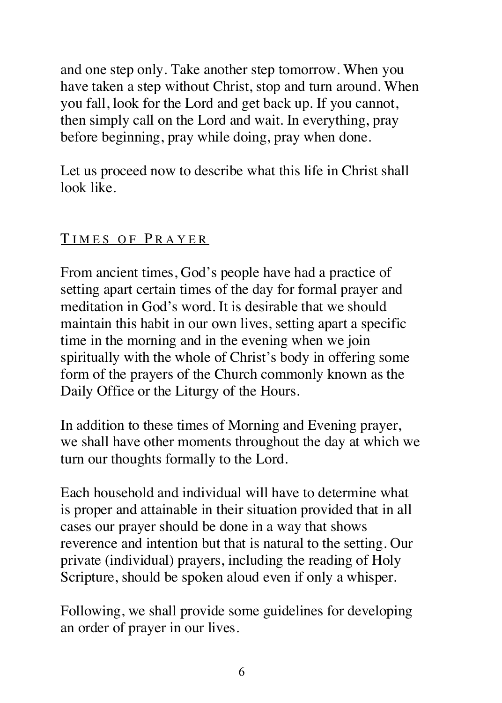and one step only. Take another step tomorrow. When you have taken a step without Christ, stop and turn around. When you fall, look for the Lord and get back up. If you cannot, then simply call on the Lord and wait. In everything, pray before beginning, pray while doing, pray when done.

Let us proceed now to describe what this life in Christ shall look like.

#### TIMES OF PRAYER

From ancient times, God's people have had a practice of setting apart certain times of the day for formal prayer and meditation in God's word. It is desirable that we should maintain this habit in our own lives, setting apart a specific time in the morning and in the evening when we join spiritually with the whole of Christ's body in offering some form of the prayers of the Church commonly known as the Daily Office or the Liturgy of the Hours.

In addition to these times of Morning and Evening prayer, we shall have other moments throughout the day at which we turn our thoughts formally to the Lord.

Each household and individual will have to determine what is proper and attainable in their situation provided that in all cases our prayer should be done in a way that shows reverence and intention but that is natural to the setting. Our private (individual) prayers, including the reading of Holy Scripture, should be spoken aloud even if only a whisper.

Following, we shall provide some guidelines for developing an order of prayer in our lives.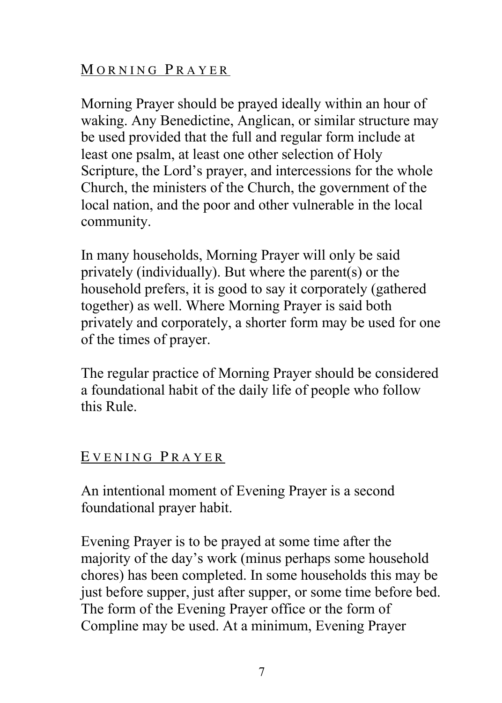### MORNING PRAYER

Morning Prayer should be prayed ideally within an hour of waking. Any Benedictine, Anglican, or similar structure may be used provided that the full and regular form include at least one psalm, at least one other selection of Holy Scripture, the Lord's prayer, and intercessions for the whole Church, the ministers of the Church, the government of the local nation, and the poor and other vulnerable in the local community.

In many households, Morning Prayer will only be said privately (individually). But where the parent(s) or the household prefers, it is good to say it corporately (gathered together) as well. Where Morning Prayer is said both privately and corporately, a shorter form may be used for one of the times of prayer.

The regular practice of Morning Prayer should be considered a foundational habit of the daily life of people who follow this Rule.

#### EVENING PRAYER

An intentional moment of Evening Prayer is a second foundational prayer habit.

Evening Prayer is to be prayed at some time after the majority of the day's work (minus perhaps some household chores) has been completed. In some households this may be just before supper, just after supper, or some time before bed. The form of the Evening Prayer office or the form of Compline may be used. At a minimum, Evening Prayer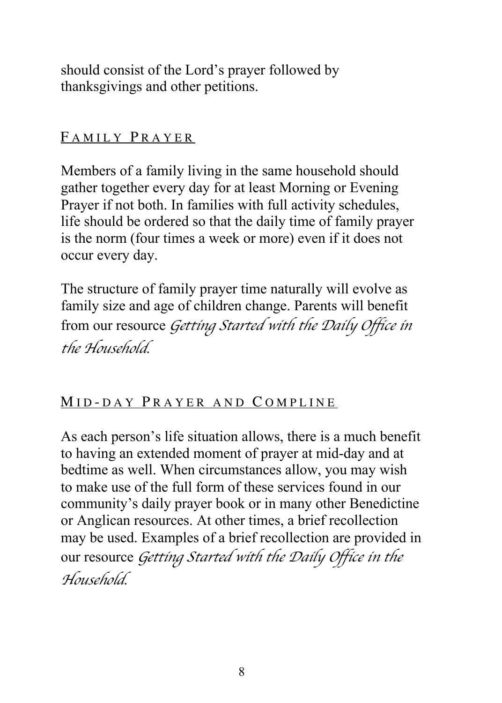should consist of the Lord's prayer followed by thanksgivings and other petitions.

### FAMILY PRAYER

Members of a family living in the same household should gather together every day for at least Morning or Evening Prayer if not both. In families with full activity schedules, life should be ordered so that the daily time of family prayer is the norm (four times a week or more) even if it does not occur every day.

The structure of family prayer time naturally will evolve as family size and age of children change. Parents will benefit from our resource *Getting Started with the Daily Office in the Household*.

## MID-DAY PRAYER AND COMPLINE

As each person's life situation allows, there is a much benefit to having an extended moment of prayer at mid-day and at bedtime as well. When circumstances allow, you may wish to make use of the full form of these services found in our community's daily prayer book or in many other Benedictine or Anglican resources. At other times, a brief recollection may be used. Examples of a brief recollection are provided in our resource *Getting Started with the Daily Office in the Household*.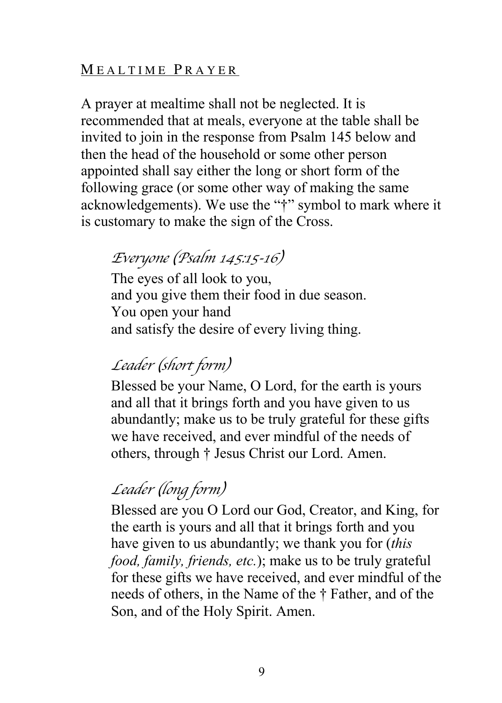#### MEALTIME PRAYER

A prayer at mealtime shall not be neglected. It is recommended that at meals, everyone at the table shall be invited to join in the response from Psalm 145 below and then the head of the household or some other person appointed shall say either the long or short form of the following grace (or some other way of making the same acknowledgements). We use the "†" symbol to mark where it is customary to make the sign of the Cross.

# *Everyone* (*Psalm 145:15-16*)

The eyes of all look to you, and you give them their food in due season. You open your hand and satisfy the desire of every living thing.

# *Leader* (*short form*)

Blessed be your Name, O Lord, for the earth is yours and all that it brings forth and you have given to us abundantly; make us to be truly grateful for these gifts we have received, and ever mindful of the needs of others, through † Jesus Christ our Lord. Amen.

# *Leader* (*long form*)

Blessed are you O Lord our God, Creator, and King, for the earth is yours and all that it brings forth and you have given to us abundantly; we thank you for (*this food, family, friends, etc.*); make us to be truly grateful for these gifts we have received, and ever mindful of the needs of others, in the Name of the † Father, and of the Son, and of the Holy Spirit. Amen.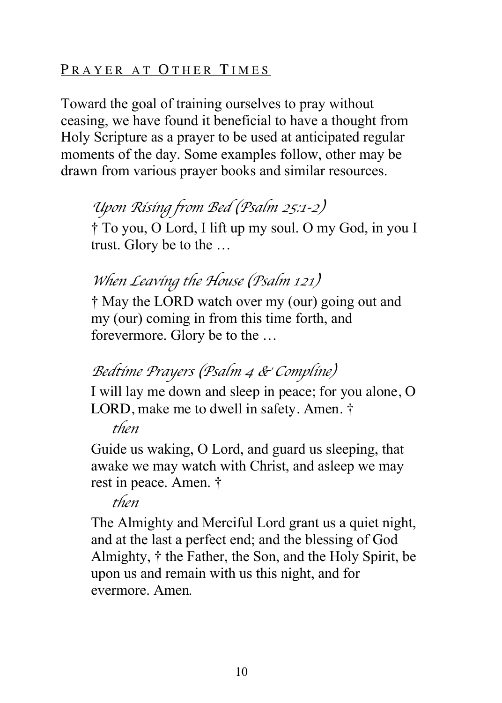### PRAYER AT OTHER TIMES

Toward the goal of training ourselves to pray without ceasing, we have found it beneficial to have a thought from Holy Scripture as a prayer to be used at anticipated regular moments of the day. Some examples follow, other may be drawn from various prayer books and similar resources.

# *Upon Rising from Bed* (*Psalm 25:1-2*)

† To you, O Lord, I lift up my soul. O my God, in you I trust. Glory be to the …

# *When Leaving the House* (*Psalm 121*)

† May the LORD watch over my (our) going out and my (our) coming in from this time forth, and forevermore. Glory be to the …

# *Bedtime Prayers* (*Psalm 4 & Compline*)

I will lay me down and sleep in peace; for you alone, O LORD, make me to dwell in safety. Amen. †

## *then*

Guide us waking, O Lord, and guard us sleeping, that awake we may watch with Christ, and asleep we may rest in peace. Amen. †

## *then*

The Almighty and Merciful Lord grant us a quiet night, and at the last a perfect end; and the blessing of God Almighty, † the Father, the Son, and the Holy Spirit, be upon us and remain with us this night, and for evermore. Amen*.*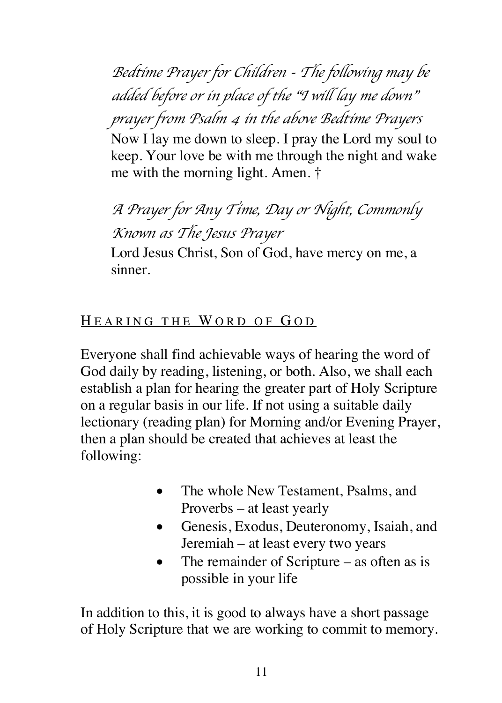*Bedtime Prayer for Children - The following may be added before or in place of the* "*I will lay me down*" *prayer from Psalm 4 in the above Bedtime Prayers* Now I lay me down to sleep. I pray the Lord my soul to keep. Your love be with me through the night and wake me with the morning light. Amen. †

*A Prayer for Any Time, Day or Night, Commonly Known as The Jesus Prayer*

Lord Jesus Christ, Son of God, have mercy on me, a sinner.

## HEARING THE WORD OF GOD

Everyone shall find achievable ways of hearing the word of God daily by reading, listening, or both. Also, we shall each establish a plan for hearing the greater part of Holy Scripture on a regular basis in our life. If not using a suitable daily lectionary (reading plan) for Morning and/or Evening Prayer, then a plan should be created that achieves at least the following:

- The whole New Testament, Psalms, and Proverbs – at least yearly
- Genesis, Exodus, Deuteronomy, Isaiah, and Jeremiah – at least every two years
- The remainder of Scripture as often as is possible in your life

In addition to this, it is good to always have a short passage of Holy Scripture that we are working to commit to memory.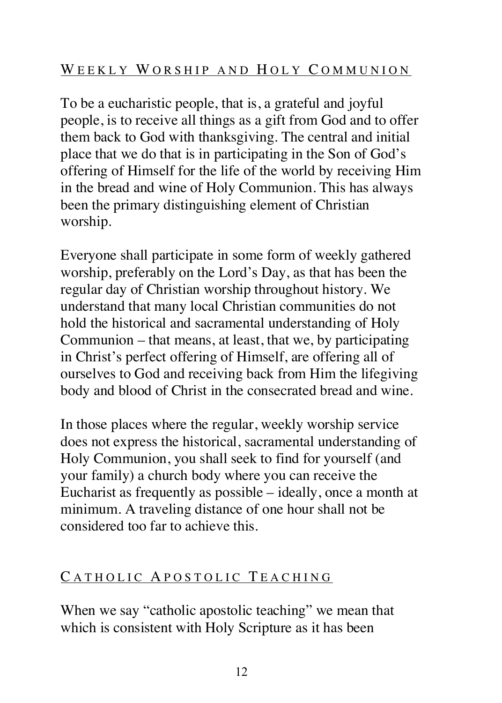### WEEKLY WORSHIP AND HOLY COMMUNION

To be a eucharistic people, that is, a grateful and joyful people, is to receive all things as a gift from God and to offer them back to God with thanksgiving. The central and initial place that we do that is in participating in the Son of God's offering of Himself for the life of the world by receiving Him in the bread and wine of Holy Communion. This has always been the primary distinguishing element of Christian worship.

Everyone shall participate in some form of weekly gathered worship, preferably on the Lord's Day, as that has been the regular day of Christian worship throughout history. We understand that many local Christian communities do not hold the historical and sacramental understanding of Holy Communion – that means, at least, that we, by participating in Christ's perfect offering of Himself, are offering all of ourselves to God and receiving back from Him the lifegiving body and blood of Christ in the consecrated bread and wine.

In those places where the regular, weekly worship service does not express the historical, sacramental understanding of Holy Communion, you shall seek to find for yourself (and your family) a church body where you can receive the Eucharist as frequently as possible – ideally, once a month at minimum. A traveling distance of one hour shall not be considered too far to achieve this.

#### CATHOLIC APOSTOLIC TEACHING

When we say "catholic apostolic teaching" we mean that which is consistent with Holy Scripture as it has been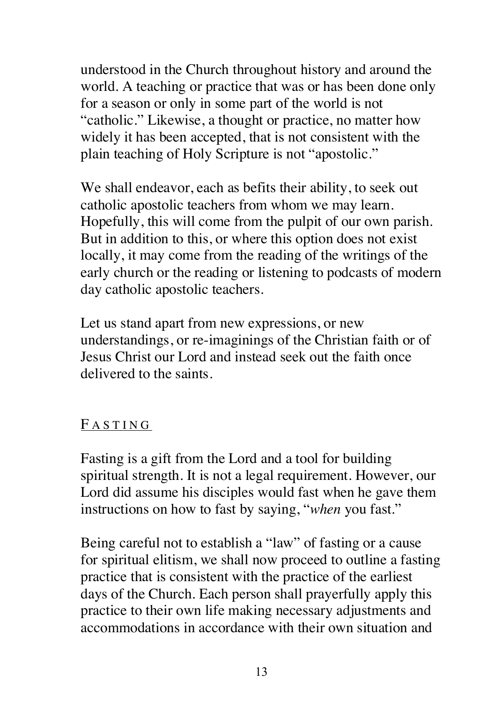understood in the Church throughout history and around the world. A teaching or practice that was or has been done only for a season or only in some part of the world is not "catholic." Likewise, a thought or practice, no matter how widely it has been accepted, that is not consistent with the plain teaching of Holy Scripture is not "apostolic."

We shall endeavor, each as befits their ability, to seek out catholic apostolic teachers from whom we may learn. Hopefully, this will come from the pulpit of our own parish. But in addition to this, or where this option does not exist locally, it may come from the reading of the writings of the early church or the reading or listening to podcasts of modern day catholic apostolic teachers.

Let us stand apart from new expressions, or new understandings, or re-imaginings of the Christian faith or of Jesus Christ our Lord and instead seek out the faith once delivered to the saints.

#### F ASTING

Fasting is a gift from the Lord and a tool for building spiritual strength. It is not a legal requirement. However, our Lord did assume his disciples would fast when he gave them instructions on how to fast by saying, "*when* you fast."

Being careful not to establish a "law" of fasting or a cause for spiritual elitism, we shall now proceed to outline a fasting practice that is consistent with the practice of the earliest days of the Church. Each person shall prayerfully apply this practice to their own life making necessary adjustments and accommodations in accordance with their own situation and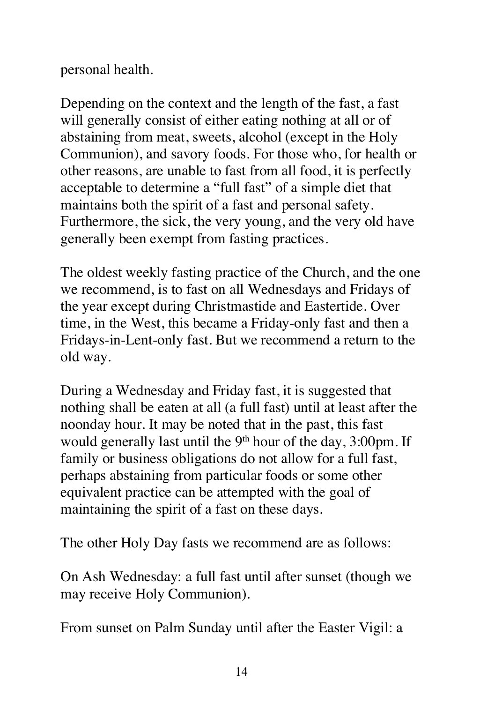personal health.

Depending on the context and the length of the fast, a fast will generally consist of either eating nothing at all or of abstaining from meat, sweets, alcohol (except in the Holy Communion), and savory foods. For those who, for health or other reasons, are unable to fast from all food, it is perfectly acceptable to determine a "full fast" of a simple diet that maintains both the spirit of a fast and personal safety. Furthermore, the sick, the very young, and the very old have generally been exempt from fasting practices.

The oldest weekly fasting practice of the Church, and the one we recommend, is to fast on all Wednesdays and Fridays of the year except during Christmastide and Eastertide. Over time, in the West, this became a Friday-only fast and then a Fridays-in-Lent-only fast. But we recommend a return to the old way.

During a Wednesday and Friday fast, it is suggested that nothing shall be eaten at all (a full fast) until at least after the noonday hour. It may be noted that in the past, this fast would generally last until the 9<sup>th</sup> hour of the day, 3:00pm. If family or business obligations do not allow for a full fast, perhaps abstaining from particular foods or some other equivalent practice can be attempted with the goal of maintaining the spirit of a fast on these days.

The other Holy Day fasts we recommend are as follows:

On Ash Wednesday: a full fast until after sunset (though we may receive Holy Communion).

From sunset on Palm Sunday until after the Easter Vigil: a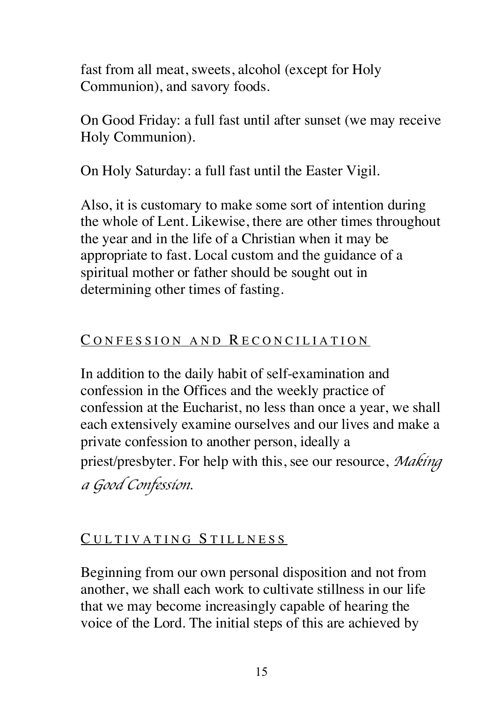fast from all meat, sweets, alcohol (except for Holy Communion), and savory foods.

On Good Friday: a full fast until after sunset (we may receive Holy Communion).

On Holy Saturday: a full fast until the Easter Vigil.

Also, it is customary to make some sort of intention during the whole of Lent. Likewise, there are other times throughout the year and in the life of a Christian when it may be appropriate to fast. Local custom and the guidance of a spiritual mother or father should be sought out in determining other times of fasting.

#### C ONFESSION AND R ECONCILIATION

In addition to the daily habit of self-examination and confession in the Offices and the weekly practice of confession at the Eucharist, no less than once a year, we shall each extensively examine ourselves and our lives and make a private confession to another person, ideally a priest/presbyter. For help with this, see our resource, *Making a Good Confession*.

#### CULTIVATING STILLNESS

Beginning from our own personal disposition and not from another, we shall each work to cultivate stillness in our life that we may become increasingly capable of hearing the voice of the Lord. The initial steps of this are achieved by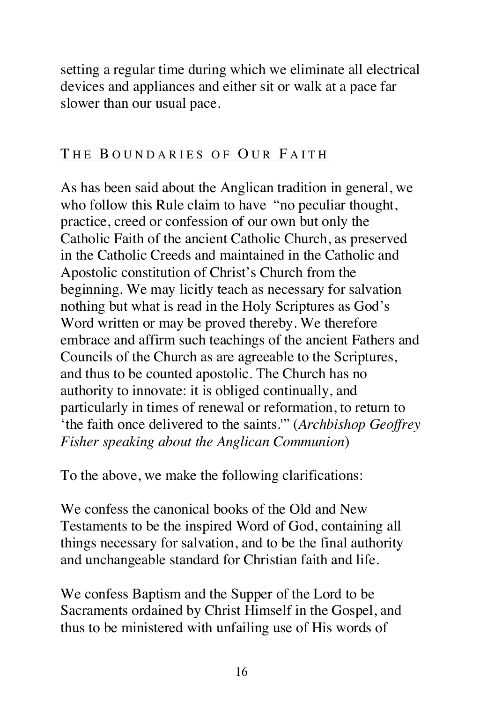setting a regular time during which we eliminate all electrical devices and appliances and either sit or walk at a pace far slower than our usual pace.

#### THE BOUNDARIES OF OUR FAITH

As has been said about the Anglican tradition in general, we who follow this Rule claim to have "no peculiar thought, practice, creed or confession of our own but only the Catholic Faith of the ancient Catholic Church, as preserved in the Catholic Creeds and maintained in the Catholic and Apostolic constitution of Christ's Church from the beginning. We may licitly teach as necessary for salvation nothing but what is read in the Holy Scriptures as God's Word written or may be proved thereby. We therefore embrace and affirm such teachings of the ancient Fathers and Councils of the Church as are agreeable to the Scriptures, and thus to be counted apostolic. The Church has no authority to innovate: it is obliged continually, and particularly in times of renewal or reformation, to return to 'the faith once delivered to the saints.'" (*Archbishop Geoffrey Fisher speaking about the Anglican Communion*)

To the above, we make the following clarifications:

We confess the canonical books of the Old and New Testaments to be the inspired Word of God, containing all things necessary for salvation, and to be the final authority and unchangeable standard for Christian faith and life.

We confess Baptism and the Supper of the Lord to be Sacraments ordained by Christ Himself in the Gospel, and thus to be ministered with unfailing use of His words of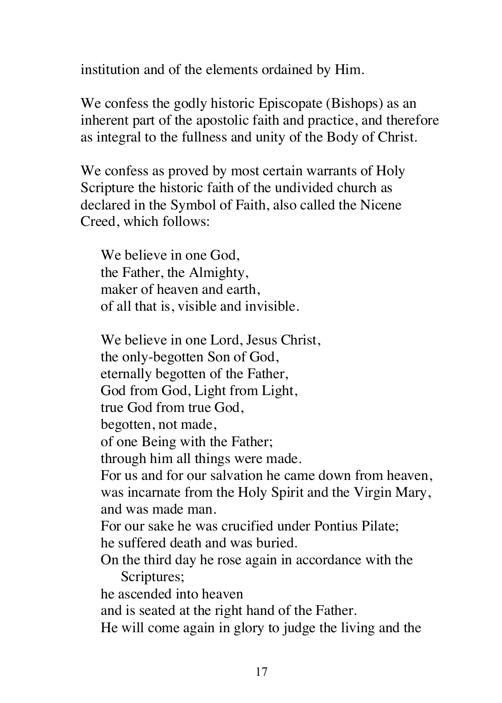institution and of the elements ordained by Him.

We confess the godly historic Episcopate (Bishops) as an inherent part of the apostolic faith and practice, and therefore as integral to the fullness and unity of the Body of Christ.

We confess as proved by most certain warrants of Holy Scripture the historic faith of the undivided church as declared in the Symbol of Faith, also called the Nicene Creed, which follows:

We believe in one God, the Father, the Almighty, maker of heaven and earth, of all that is, visible and invisible.

We believe in one Lord, Jesus Christ, the only-begotten Son of God, eternally begotten of the Father, God from God, Light from Light, true God from true God, begotten, not made, of one Being with the Father; through him all things were made. For us and for our salvation he came down from heaven, was incarnate from the Holy Spirit and the Virgin Mary, and was made man. For our sake he was crucified under Pontius Pilate; he suffered death and was buried. On the third day he rose again in accordance with the Scriptures; he ascended into heaven and is seated at the right hand of the Father. He will come again in glory to judge the living and the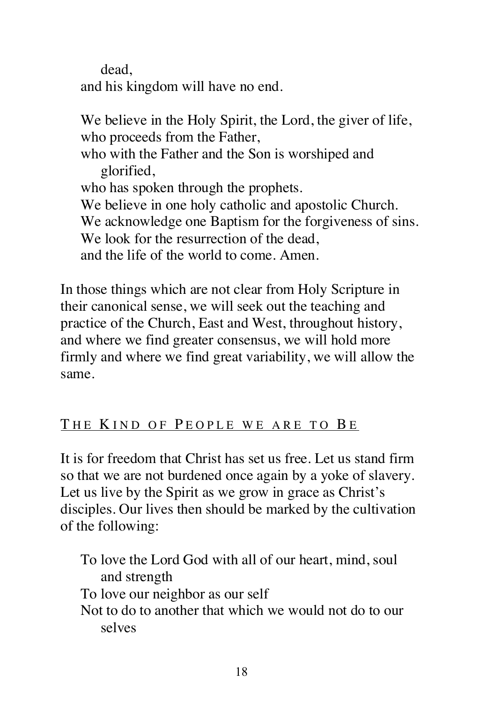dead, and his kingdom will have no end.

We believe in the Holy Spirit, the Lord, the giver of life, who proceeds from the Father, who with the Father and the Son is worshiped and glorified, who has spoken through the prophets. We believe in one holy catholic and apostolic Church. We acknowledge one Baptism for the forgiveness of sins. We look for the resurrection of the dead. and the life of the world to come. Amen.

In those things which are not clear from Holy Scripture in their canonical sense, we will seek out the teaching and practice of the Church, East and West, throughout history, and where we find greater consensus, we will hold more firmly and where we find great variability, we will allow the same.

#### THE KIND OF PEOPLE WE ARE TO BE

It is for freedom that Christ has set us free. Let us stand firm so that we are not burdened once again by a yoke of slavery. Let us live by the Spirit as we grow in grace as Christ's disciples. Our lives then should be marked by the cultivation of the following:

To love the Lord God with all of our heart, mind, soul and strength To love our neighbor as our self Not to do to another that which we would not do to our selves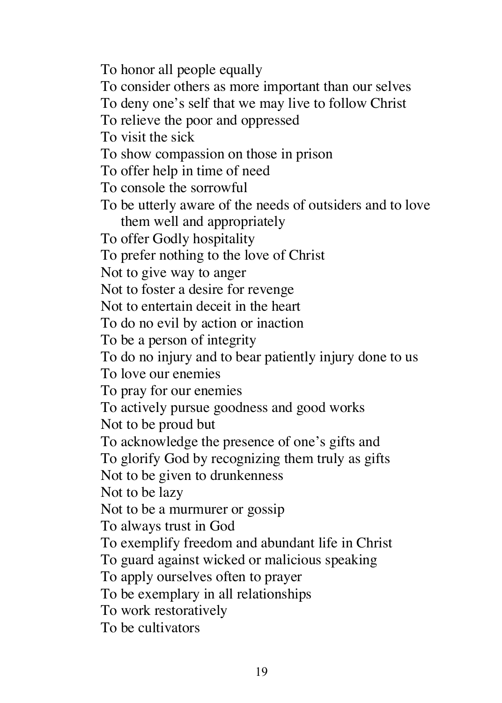To honor all people equally To consider others as more important than our selves To deny one's self that we may live to follow Christ To relieve the poor and oppressed To visit the sick To show compassion on those in prison To offer help in time of need To console the sorrowful To be utterly aware of the needs of outsiders and to love them well and appropriately To offer Godly hospitality To prefer nothing to the love of Christ Not to give way to anger Not to foster a desire for revenge Not to entertain deceit in the heart To do no evil by action or inaction To be a person of integrity To do no injury and to bear patiently injury done to us To love our enemies To pray for our enemies To actively pursue goodness and good works Not to be proud but To acknowledge the presence of one's gifts and To glorify God by recognizing them truly as gifts Not to be given to drunkenness Not to be lazy Not to be a murmurer or gossip To always trust in God To exemplify freedom and abundant life in Christ To guard against wicked or malicious speaking To apply ourselves often to prayer To be exemplary in all relationships To work restoratively To be cultivators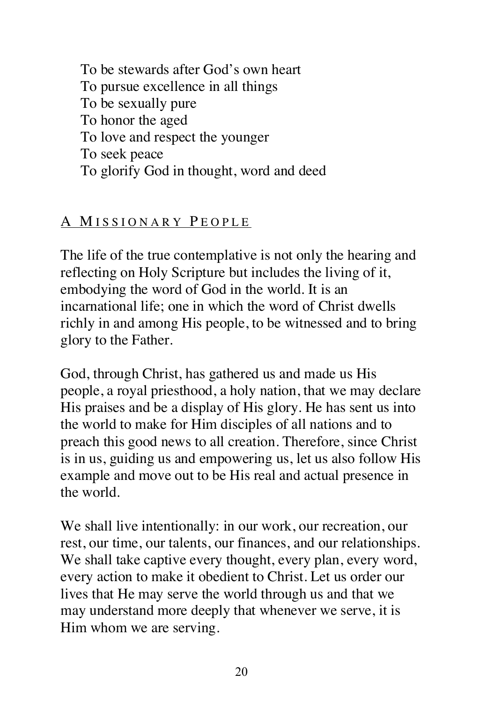To be stewards after God's own heart To pursue excellence in all things To be sexually pure To honor the aged To love and respect the younger To seek peace To glorify God in thought, word and deed

#### A MISSIONARY PEOPLE

The life of the true contemplative is not only the hearing and reflecting on Holy Scripture but includes the living of it, embodying the word of God in the world. It is an incarnational life; one in which the word of Christ dwells richly in and among His people, to be witnessed and to bring glory to the Father.

God, through Christ, has gathered us and made us His people, a royal priesthood, a holy nation, that we may declare His praises and be a display of His glory. He has sent us into the world to make for Him disciples of all nations and to preach this good news to all creation. Therefore, since Christ is in us, guiding us and empowering us, let us also follow His example and move out to be His real and actual presence in the world.

We shall live intentionally: in our work, our recreation, our rest, our time, our talents, our finances, and our relationships. We shall take captive every thought, every plan, every word, every action to make it obedient to Christ. Let us order our lives that He may serve the world through us and that we may understand more deeply that whenever we serve, it is Him whom we are serving.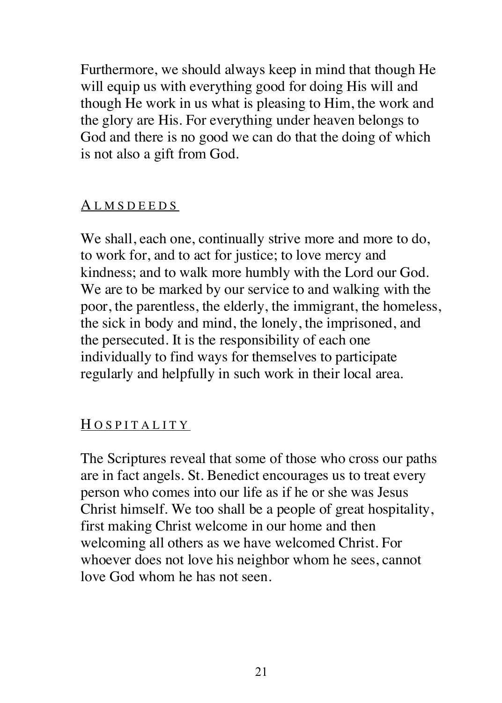Furthermore, we should always keep in mind that though He will equip us with everything good for doing His will and though He work in us what is pleasing to Him, the work and the glory are His. For everything under heaven belongs to God and there is no good we can do that the doing of which is not also a gift from God.

#### A LMSDEEDS

We shall, each one, continually strive more and more to do, to work for, and to act for justice; to love mercy and kindness; and to walk more humbly with the Lord our God. We are to be marked by our service to and walking with the poor, the parentless, the elderly, the immigrant, the homeless, the sick in body and mind, the lonely, the imprisoned, and the persecuted. It is the responsibility of each one individually to find ways for themselves to participate regularly and helpfully in such work in their local area.

#### H OSPITALITY

The Scriptures reveal that some of those who cross our paths are in fact angels. St. Benedict encourages us to treat every person who comes into our life as if he or she was Jesus Christ himself. We too shall be a people of great hospitality, first making Christ welcome in our home and then welcoming all others as we have welcomed Christ. For whoever does not love his neighbor whom he sees, cannot love God whom he has not seen.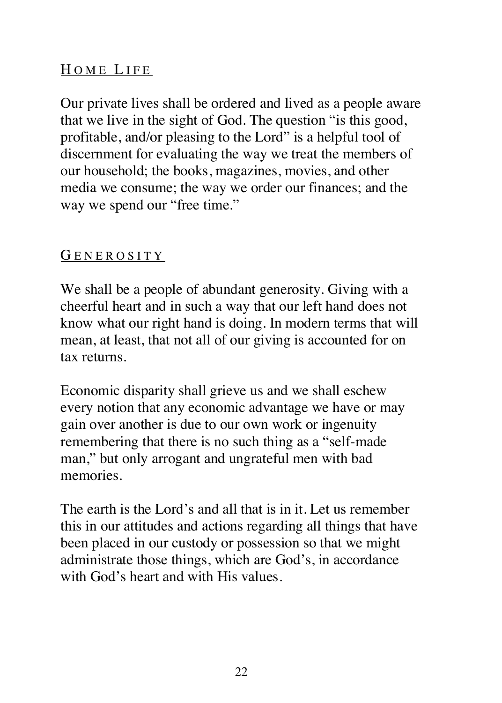## HOME LIFE

Our private lives shall be ordered and lived as a people aware that we live in the sight of God. The question "is this good, profitable, and/or pleasing to the Lord" is a helpful tool of discernment for evaluating the way we treat the members of our household; the books, magazines, movies, and other media we consume; the way we order our finances; and the way we spend our "free time."

#### G ENEROSITY

We shall be a people of abundant generosity. Giving with a cheerful heart and in such a way that our left hand does not know what our right hand is doing. In modern terms that will mean, at least, that not all of our giving is accounted for on tax returns.

Economic disparity shall grieve us and we shall eschew every notion that any economic advantage we have or may gain over another is due to our own work or ingenuity remembering that there is no such thing as a "self-made man," but only arrogant and ungrateful men with bad memories.

The earth is the Lord's and all that is in it. Let us remember this in our attitudes and actions regarding all things that have been placed in our custody or possession so that we might administrate those things, which are God's, in accordance with God's heart and with His values.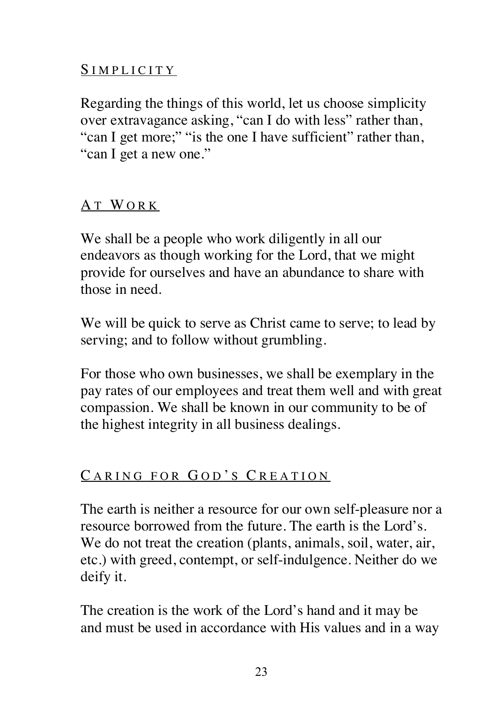#### S IMPLICITY

Regarding the things of this world, let us choose simplicity over extravagance asking, "can I do with less" rather than, "can I get more;" "is the one I have sufficient" rather than, "can I get a new one."

#### A T W O R K

We shall be a people who work diligently in all our endeavors as though working for the Lord, that we might provide for ourselves and have an abundance to share with those in need.

We will be quick to serve as Christ came to serve; to lead by serving; and to follow without grumbling.

For those who own businesses, we shall be exemplary in the pay rates of our employees and treat them well and with great compassion. We shall be known in our community to be of the highest integrity in all business dealings.

#### CARING FOR GOD'S CREATION

The earth is neither a resource for our own self-pleasure nor a resource borrowed from the future. The earth is the Lord's. We do not treat the creation (plants, animals, soil, water, air, etc.) with greed, contempt, or self-indulgence. Neither do we deify it.

The creation is the work of the Lord's hand and it may be and must be used in accordance with His values and in a way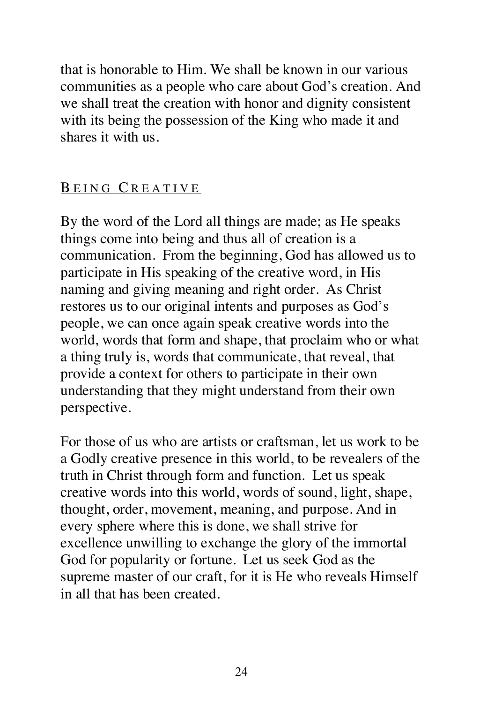that is honorable to Him. We shall be known in our various communities as a people who care about God's creation. And we shall treat the creation with honor and dignity consistent with its being the possession of the King who made it and shares it with us.

#### B EING C REATIVE

By the word of the Lord all things are made; as He speaks things come into being and thus all of creation is a communication. From the beginning, God has allowed us to participate in His speaking of the creative word, in His naming and giving meaning and right order. As Christ restores us to our original intents and purposes as God's people, we can once again speak creative words into the world, words that form and shape, that proclaim who or what a thing truly is, words that communicate, that reveal, that provide a context for others to participate in their own understanding that they might understand from their own perspective.

For those of us who are artists or craftsman, let us work to be a Godly creative presence in this world, to be revealers of the truth in Christ through form and function. Let us speak creative words into this world, words of sound, light, shape, thought, order, movement, meaning, and purpose. And in every sphere where this is done, we shall strive for excellence unwilling to exchange the glory of the immortal God for popularity or fortune. Let us seek God as the supreme master of our craft, for it is He who reveals Himself in all that has been created.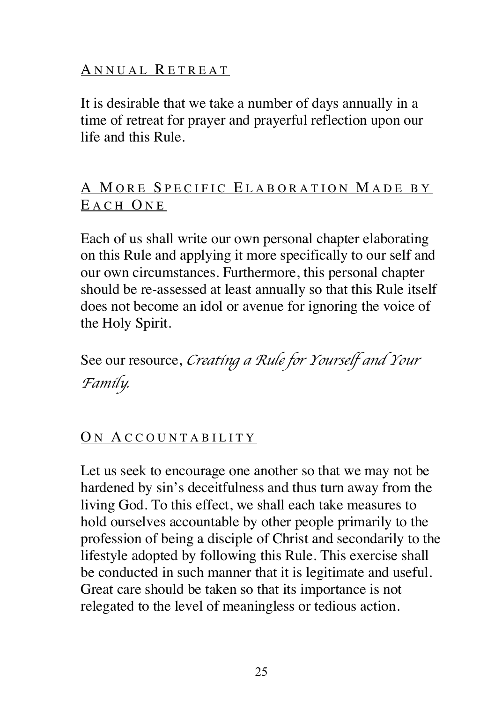#### A NNUAL R ETREAT

It is desirable that we take a number of days annually in a time of retreat for prayer and prayerful reflection upon our life and this Rule.

## A MORE SPECIFIC ELABORATION MADE BY EACH ONE

Each of us shall write our own personal chapter elaborating on this Rule and applying it more specifically to our self and our own circumstances. Furthermore, this personal chapter should be re-assessed at least annually so that this Rule itself does not become an idol or avenue for ignoring the voice of the Holy Spirit.

See our resource, *Creating a Rule for Yourself and Your Family.*

#### ON ACCOUNTABILITY

Let us seek to encourage one another so that we may not be hardened by sin's deceitfulness and thus turn away from the living God. To this effect, we shall each take measures to hold ourselves accountable by other people primarily to the profession of being a disciple of Christ and secondarily to the lifestyle adopted by following this Rule. This exercise shall be conducted in such manner that it is legitimate and useful. Great care should be taken so that its importance is not relegated to the level of meaningless or tedious action.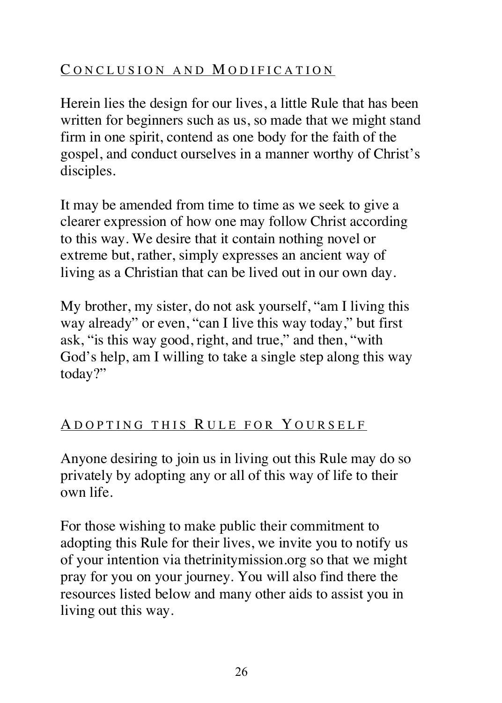## CONCLUSION AND MODIFICATION

Herein lies the design for our lives, a little Rule that has been written for beginners such as us, so made that we might stand firm in one spirit, contend as one body for the faith of the gospel, and conduct ourselves in a manner worthy of Christ's disciples.

It may be amended from time to time as we seek to give a clearer expression of how one may follow Christ according to this way. We desire that it contain nothing novel or extreme but, rather, simply expresses an ancient way of living as a Christian that can be lived out in our own day.

My brother, my sister, do not ask yourself, "am I living this way already" or even, "can I live this way today," but first ask, "is this way good, right, and true," and then, "with God's help, am I willing to take a single step along this way today?"

#### A DOPTING THIS R ULE FOR Y OURSELF

Anyone desiring to join us in living out this Rule may do so privately by adopting any or all of this way of life to their own life.

For those wishing to make public their commitment to adopting this Rule for their lives, we invite you to notify us of your intention via thetrinitymission.org so that we might pray for you on your journey. You will also find there the resources listed below and many other aids to assist you in living out this way.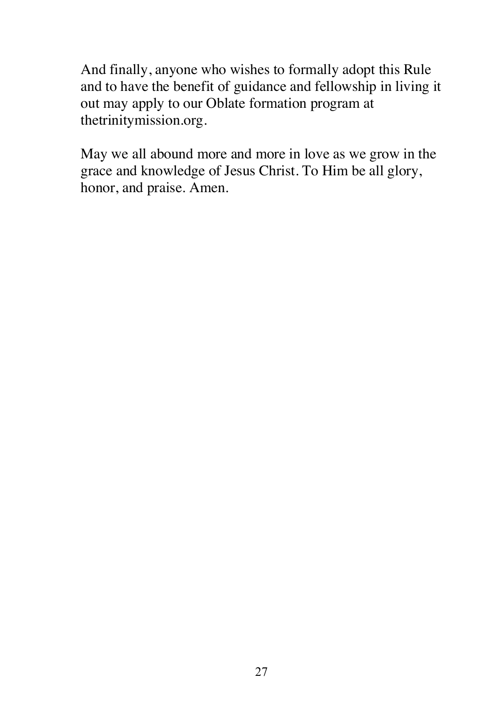And finally, anyone who wishes to formally adopt this Rule and to have the benefit of guidance and fellowship in living it out may apply to our Oblate formation program at thetrinitymission.org.

May we all abound more and more in love as we grow in the grace and knowledge of Jesus Christ. To Him be all glory, honor, and praise. Amen.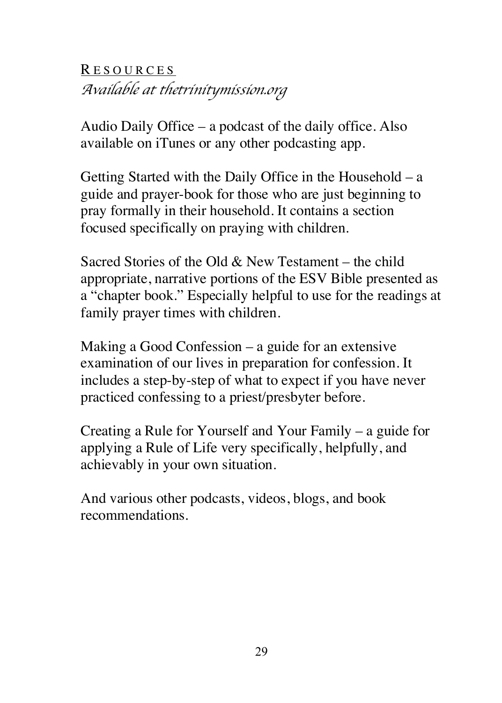# R ESOURCES *Available at thetrinitymission.org*

Audio Daily Office – a podcast of the daily office. Also available on iTunes or any other podcasting app.

Getting Started with the Daily Office in the Household – a guide and prayer-book for those who are just beginning to pray formally in their household. It contains a section focused specifically on praying with children.

Sacred Stories of the Old & New Testament – the child appropriate, narrative portions of the ESV Bible presented as a "chapter book." Especially helpful to use for the readings at family prayer times with children.

Making a Good Confession – a guide for an extensive examination of our lives in preparation for confession. It includes a step-by-step of what to expect if you have never practiced confessing to a priest/presbyter before.

Creating a Rule for Yourself and Your Family – a guide for applying a Rule of Life very specifically, helpfully, and achievably in your own situation.

And various other podcasts, videos, blogs, and book recommendations.